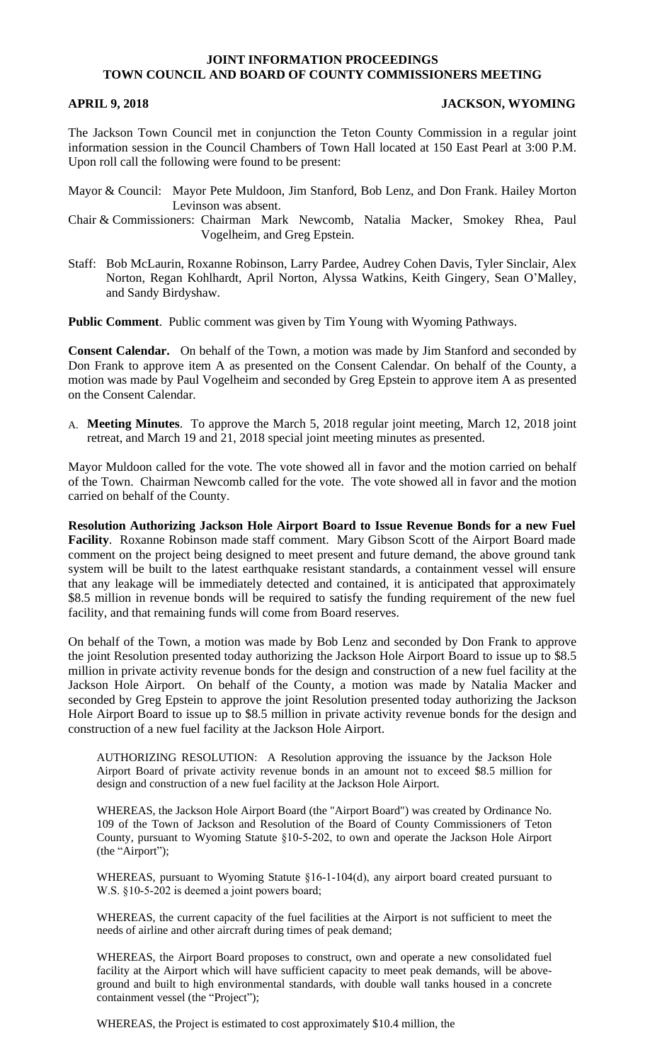## **JOINT INFORMATION PROCEEDINGS TOWN COUNCIL AND BOARD OF COUNTY COMMISSIONERS MEETING**

## **APRIL 9, 2018 JACKSON, WYOMING**

The Jackson Town Council met in conjunction the Teton County Commission in a regular joint information session in the Council Chambers of Town Hall located at 150 East Pearl at 3:00 P.M. Upon roll call the following were found to be present:

Mayor & Council: Mayor Pete Muldoon, Jim Stanford, Bob Lenz, and Don Frank. Hailey Morton Levinson was absent.

Chair & Commissioners: Chairman Mark Newcomb, Natalia Macker, Smokey Rhea, Paul Vogelheim, and Greg Epstein.

Staff: Bob McLaurin, Roxanne Robinson, Larry Pardee, Audrey Cohen Davis, Tyler Sinclair, Alex Norton, Regan Kohlhardt, April Norton, Alyssa Watkins, Keith Gingery, Sean O'Malley, and Sandy Birdyshaw.

**Public Comment**. Public comment was given by Tim Young with Wyoming Pathways.

**Consent Calendar.** On behalf of the Town, a motion was made by Jim Stanford and seconded by Don Frank to approve item A as presented on the Consent Calendar. On behalf of the County, a motion was made by Paul Vogelheim and seconded by Greg Epstein to approve item A as presented on the Consent Calendar.

A. **Meeting Minutes**. To approve the March 5, 2018 regular joint meeting, March 12, 2018 joint retreat, and March 19 and 21, 2018 special joint meeting minutes as presented.

Mayor Muldoon called for the vote. The vote showed all in favor and the motion carried on behalf of the Town. Chairman Newcomb called for the vote. The vote showed all in favor and the motion carried on behalf of the County.

**Resolution Authorizing Jackson Hole Airport Board to Issue Revenue Bonds for a new Fuel Facility**. Roxanne Robinson made staff comment. Mary Gibson Scott of the Airport Board made comment on the project being designed to meet present and future demand, the above ground tank system will be built to the latest earthquake resistant standards, a containment vessel will ensure that any leakage will be immediately detected and contained, it is anticipated that approximately \$8.5 million in revenue bonds will be required to satisfy the funding requirement of the new fuel facility, and that remaining funds will come from Board reserves.

On behalf of the Town, a motion was made by Bob Lenz and seconded by Don Frank to approve the joint Resolution presented today authorizing the Jackson Hole Airport Board to issue up to \$8.5 million in private activity revenue bonds for the design and construction of a new fuel facility at the Jackson Hole Airport. On behalf of the County, a motion was made by Natalia Macker and seconded by Greg Epstein to approve the joint Resolution presented today authorizing the Jackson Hole Airport Board to issue up to \$8.5 million in private activity revenue bonds for the design and construction of a new fuel facility at the Jackson Hole Airport.

AUTHORIZING RESOLUTION: A Resolution approving the issuance by the Jackson Hole Airport Board of private activity revenue bonds in an amount not to exceed \$8.5 million for design and construction of a new fuel facility at the Jackson Hole Airport.

WHEREAS, the Jackson Hole Airport Board (the "Airport Board") was created by Ordinance No. 109 of the Town of Jackson and Resolution of the Board of County Commissioners of Teton County, pursuant to Wyoming Statute §10-5-202, to own and operate the Jackson Hole Airport (the "Airport");

WHEREAS, pursuant to Wyoming Statute §16-1-104(d), any airport board created pursuant to W.S. §10-5-202 is deemed a joint powers board;

WHEREAS, the current capacity of the fuel facilities at the Airport is not sufficient to meet the needs of airline and other aircraft during times of peak demand;

WHEREAS, the Airport Board proposes to construct, own and operate a new consolidated fuel facility at the Airport which will have sufficient capacity to meet peak demands, will be aboveground and built to high environmental standards, with double wall tanks housed in a concrete containment vessel (the "Project");

WHEREAS, the Project is estimated to cost approximately \$10.4 million, the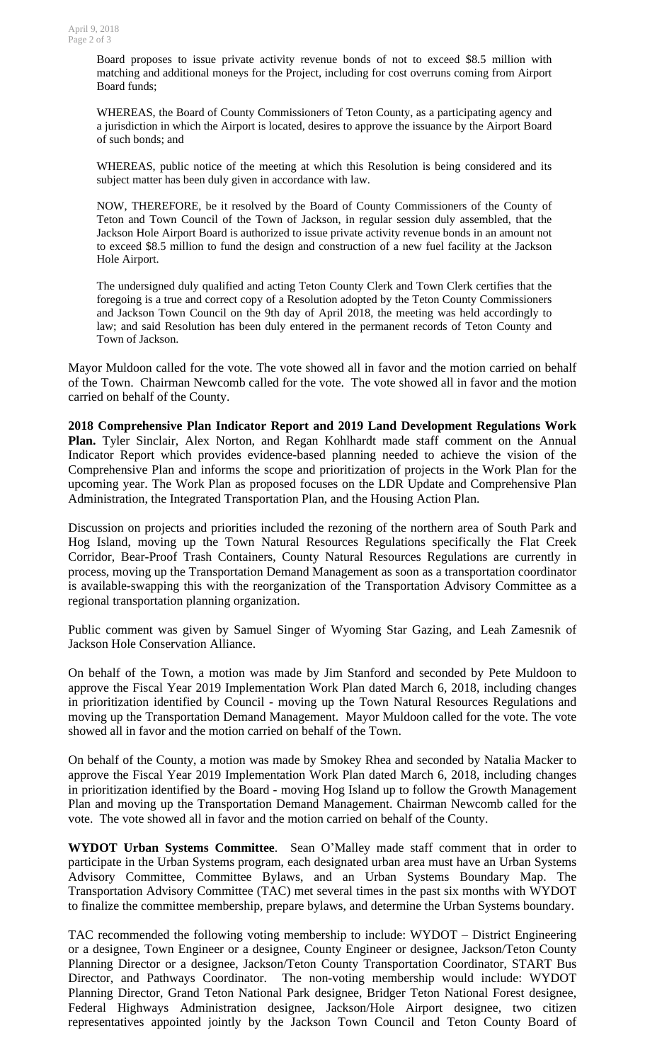Board proposes to issue private activity revenue bonds of not to exceed \$8.5 million with matching and additional moneys for the Project, including for cost overruns coming from Airport Board funds;

WHEREAS, the Board of County Commissioners of Teton County, as a participating agency and a jurisdiction in which the Airport is located, desires to approve the issuance by the Airport Board of such bonds; and

WHEREAS, public notice of the meeting at which this Resolution is being considered and its subject matter has been duly given in accordance with law.

NOW, THEREFORE, be it resolved by the Board of County Commissioners of the County of Teton and Town Council of the Town of Jackson, in regular session duly assembled, that the Jackson Hole Airport Board is authorized to issue private activity revenue bonds in an amount not to exceed \$8.5 million to fund the design and construction of a new fuel facility at the Jackson Hole Airport.

The undersigned duly qualified and acting Teton County Clerk and Town Clerk certifies that the foregoing is a true and correct copy of a Resolution adopted by the Teton County Commissioners and Jackson Town Council on the 9th day of April 2018, the meeting was held accordingly to law; and said Resolution has been duly entered in the permanent records of Teton County and Town of Jackson.

Mayor Muldoon called for the vote. The vote showed all in favor and the motion carried on behalf of the Town. Chairman Newcomb called for the vote. The vote showed all in favor and the motion carried on behalf of the County.

**2018 Comprehensive Plan Indicator Report and 2019 Land Development Regulations Work Plan.** Tyler Sinclair, Alex Norton, and Regan Kohlhardt made staff comment on the Annual Indicator Report which provides evidence-based planning needed to achieve the vision of the Comprehensive Plan and informs the scope and prioritization of projects in the Work Plan for the upcoming year. The Work Plan as proposed focuses on the LDR Update and Comprehensive Plan Administration, the Integrated Transportation Plan, and the Housing Action Plan.

Discussion on projects and priorities included the rezoning of the northern area of South Park and Hog Island, moving up the Town Natural Resources Regulations specifically the Flat Creek Corridor, Bear-Proof Trash Containers, County Natural Resources Regulations are currently in process, moving up the Transportation Demand Management as soon as a transportation coordinator is available-swapping this with the reorganization of the Transportation Advisory Committee as a regional transportation planning organization.

Public comment was given by Samuel Singer of Wyoming Star Gazing, and Leah Zamesnik of Jackson Hole Conservation Alliance.

On behalf of the Town, a motion was made by Jim Stanford and seconded by Pete Muldoon to approve the Fiscal Year 2019 Implementation Work Plan dated March 6, 2018, including changes in prioritization identified by Council - moving up the Town Natural Resources Regulations and moving up the Transportation Demand Management. Mayor Muldoon called for the vote. The vote showed all in favor and the motion carried on behalf of the Town.

On behalf of the County, a motion was made by Smokey Rhea and seconded by Natalia Macker to approve the Fiscal Year 2019 Implementation Work Plan dated March 6, 2018, including changes in prioritization identified by the Board - moving Hog Island up to follow the Growth Management Plan and moving up the Transportation Demand Management. Chairman Newcomb called for the vote. The vote showed all in favor and the motion carried on behalf of the County.

**WYDOT Urban Systems Committee**. Sean O'Malley made staff comment that in order to participate in the Urban Systems program, each designated urban area must have an Urban Systems Advisory Committee, Committee Bylaws, and an Urban Systems Boundary Map. The Transportation Advisory Committee (TAC) met several times in the past six months with WYDOT to finalize the committee membership, prepare bylaws, and determine the Urban Systems boundary.

TAC recommended the following voting membership to include: WYDOT – District Engineering or a designee, Town Engineer or a designee, County Engineer or designee, Jackson/Teton County Planning Director or a designee, Jackson/Teton County Transportation Coordinator, START Bus Director, and Pathways Coordinator. The non-voting membership would include: WYDOT Planning Director, Grand Teton National Park designee, Bridger Teton National Forest designee, Federal Highways Administration designee, Jackson/Hole Airport designee, two citizen representatives appointed jointly by the Jackson Town Council and Teton County Board of